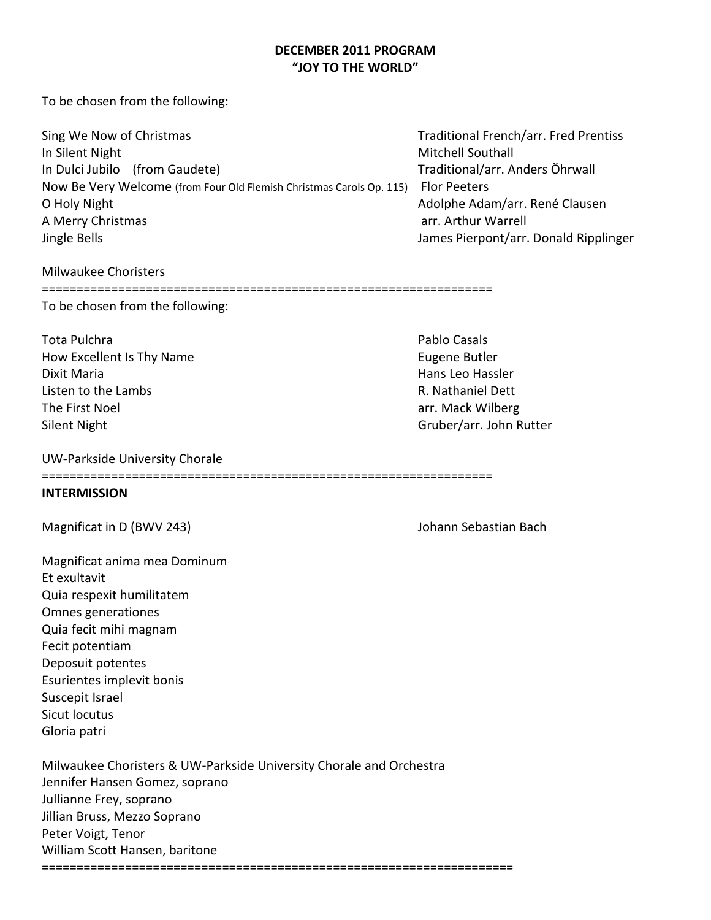# **DECEMBER 2011 PROGRAM "JOY TO THE WORLD"**

To be chosen from the following:

| Sing We Now of Christmas                                             | <b>Traditional French/arr. Fred Prentiss</b> |
|----------------------------------------------------------------------|----------------------------------------------|
| In Silent Night                                                      | <b>Mitchell Southall</b>                     |
| In Dulci Jubilo (from Gaudete)                                       | Traditional/arr. Anders Öhrwall              |
| Now Be Very Welcome (from Four Old Flemish Christmas Carols Op. 115) | <b>Flor Peeters</b>                          |
| O Holy Night                                                         | Adolphe Adam/arr. René Clausen               |
| A Merry Christmas                                                    | arr. Arthur Warrell                          |
| Jingle Bells                                                         | James Pierpont/arr. Donald Ripplinger        |

#### Milwaukee Choristers

## =================================================================

To be chosen from the following:

Tota Pulchra **Pablo Casals Pablo Casals Pablo Casals** How Excellent Is Thy Name **Eugene Butler** Eugene Butler Dixit Maria Hans Leo Hassler Listen to the Lambs **R. Nathaniel Dett** The First Noel **arrival array array and the First Noel** arr. Mack Wilberg Silent Night Gruber/arr. John Rutter

## UW-Parkside University Chorale

=================================================================

## **INTERMISSION**

Magnificat in D (BWV 243) Magnificat in D (BWV 243)

Magnificat anima mea Dominum Et exultavit Quia respexit humilitatem Omnes generationes Quia fecit mihi magnam Fecit potentiam Deposuit potentes Esurientes implevit bonis Suscepit Israel Sicut locutus Gloria patri

Milwaukee Choristers & UW-Parkside University Chorale and Orchestra Jennifer Hansen Gomez, soprano Jullianne Frey, soprano Jillian Bruss, Mezzo Soprano Peter Voigt, Tenor William Scott Hansen, baritone

====================================================================